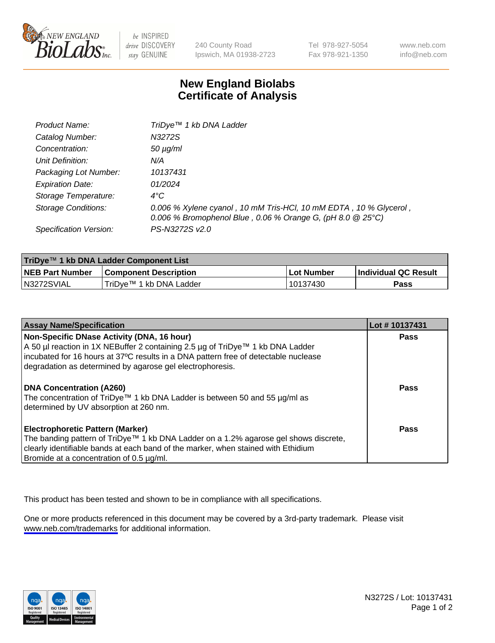

be INSPIRED drive DISCOVERY stay GENUINE

240 County Road Ipswich, MA 01938-2723 Tel 978-927-5054 Fax 978-921-1350

www.neb.com info@neb.com

## **New England Biolabs Certificate of Analysis**

| Product Name:           | TriDye <sup>™</sup> 1 kb DNA Ladder                                                                                             |
|-------------------------|---------------------------------------------------------------------------------------------------------------------------------|
| Catalog Number:         | N3272S                                                                                                                          |
| Concentration:          | $50 \mu g/ml$                                                                                                                   |
| Unit Definition:        | N/A                                                                                                                             |
| Packaging Lot Number:   | 10137431                                                                                                                        |
| <b>Expiration Date:</b> | 01/2024                                                                                                                         |
| Storage Temperature:    | $4^{\circ}$ C                                                                                                                   |
| Storage Conditions:     | 0.006 % Xylene cyanol, 10 mM Tris-HCl, 10 mM EDTA, 10 % Glycerol,<br>0.006 % Bromophenol Blue, 0.06 % Orange G, (pH 8.0 @ 25°C) |
| Specification Version:  | PS-N3272S v2.0                                                                                                                  |

| TriDye™ 1 kb DNA Ladder Component List |                              |                   |                      |  |
|----------------------------------------|------------------------------|-------------------|----------------------|--|
| <b>NEB Part Number</b>                 | <b>Component Description</b> | <b>Lot Number</b> | Individual QC Result |  |
| N3272SVIAL                             | TriDve™ 1 kb DNA Ladder      | 10137430          | Pass                 |  |

| <b>Assay Name/Specification</b>                                                                                                                                                                                                                                                  | Lot #10137431 |
|----------------------------------------------------------------------------------------------------------------------------------------------------------------------------------------------------------------------------------------------------------------------------------|---------------|
| Non-Specific DNase Activity (DNA, 16 hour)<br>A 50 µl reaction in 1X NEBuffer 2 containing 2.5 µg of TriDye™ 1 kb DNA Ladder<br>incubated for 16 hours at 37°C results in a DNA pattern free of detectable nuclease<br>degradation as determined by agarose gel electrophoresis. | <b>Pass</b>   |
| DNA Concentration (A260)<br>The concentration of TriDye™ 1 kb DNA Ladder is between 50 and 55 µg/ml as<br>determined by UV absorption at 260 nm.                                                                                                                                 | Pass          |
| <b>Electrophoretic Pattern (Marker)</b><br>The banding pattern of TriDye™ 1 kb DNA Ladder on a 1.2% agarose gel shows discrete,<br>clearly identifiable bands at each band of the marker, when stained with Ethidium<br>Bromide at a concentration of 0.5 µg/ml.                 | Pass          |

This product has been tested and shown to be in compliance with all specifications.

One or more products referenced in this document may be covered by a 3rd-party trademark. Please visit <www.neb.com/trademarks>for additional information.